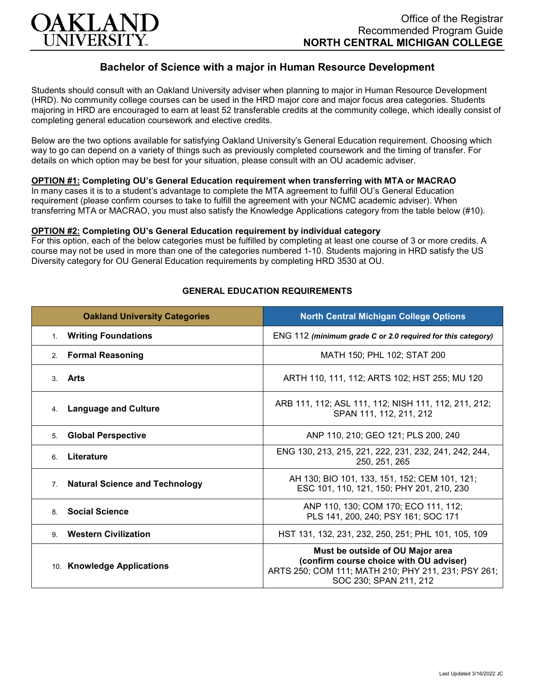

# **Bachelor of Science with a major in Human Resource Development**

Students should consult with an Oakland University adviser when planning to major in Human Resource Development (HRD). No community college courses can be used in the HRD major core and major focus area categories. Students majoring in HRD are encouraged to earn at least 52 transferable credits at the community college, which ideally consist of completing general education coursework and elective credits.

Below are the two options available for satisfying Oakland University's General Education requirement. Choosing which way to go can depend on a variety of things such as previously completed coursework and the timing of transfer. For details on which option may be best for your situation, please consult with an OU academic adviser.

## **OPTION #1: Completing OU's General Education requirement when transferring with MTA or MACRAO**

In many cases it is to a student's advantage to complete the MTA agreement to fulfill OU's General Education requirement (please confirm courses to take to fulfill the agreement with your NCMC academic adviser). When transferring MTA or MACRAO, you must also satisfy the Knowledge Applications category from the table below (#10).

#### **OPTION #2: Completing OU's General Education requirement by individual category**

For this option, each of the below categories must be fulfilled by completing at least one course of 3 or more credits. A course may not be used in more than one of the categories numbered 1-10. Students majoring in HRD satisfy the US Diversity category for OU General Education requirements by completing HRD 3530 at OU.

| <b>Oakland University Categories</b>                    | <b>North Central Michigan College Options</b>                                                                                                                |
|---------------------------------------------------------|--------------------------------------------------------------------------------------------------------------------------------------------------------------|
| <b>Writing Foundations</b><br>$1_{\cdot}$               | ENG 112 (minimum grade C or 2.0 required for this category)                                                                                                  |
| <b>Formal Reasoning</b><br>2.                           | MATH 150; PHL 102; STAT 200                                                                                                                                  |
| Arts<br>3.                                              | ARTH 110, 111, 112; ARTS 102; HST 255; MU 120                                                                                                                |
| <b>Language and Culture</b><br>4.                       | ARB 111, 112; ASL 111, 112; NISH 111, 112, 211, 212;<br>SPAN 111, 112, 211, 212                                                                              |
| <b>Global Perspective</b><br>5.                         | ANP 110, 210; GEO 121; PLS 200, 240                                                                                                                          |
| Literature<br>6                                         | ENG 130, 213, 215, 221, 222, 231, 232, 241, 242, 244,<br>250, 251, 265                                                                                       |
| <b>Natural Science and Technology</b><br>7 <sub>1</sub> | AH 130; BIO 101, 133, 151, 152; CEM 101, 121;<br>ESC 101, 110, 121, 150; PHY 201, 210, 230                                                                   |
| <b>Social Science</b><br>8                              | ANP 110, 130; COM 170; ECO 111, 112;<br>PLS 141, 200, 240; PSY 161; SOC 171                                                                                  |
| <b>Western Civilization</b><br>9                        | HST 131, 132, 231, 232, 250, 251; PHL 101, 105, 109                                                                                                          |
| 10. Knowledge Applications                              | Must be outside of OU Major area<br>(confirm course choice with OU adviser)<br>ARTS 250; COM 111; MATH 210; PHY 211, 231; PSY 261;<br>SOC 230; SPAN 211, 212 |

## **GENERAL EDUCATION REQUIREMENTS**